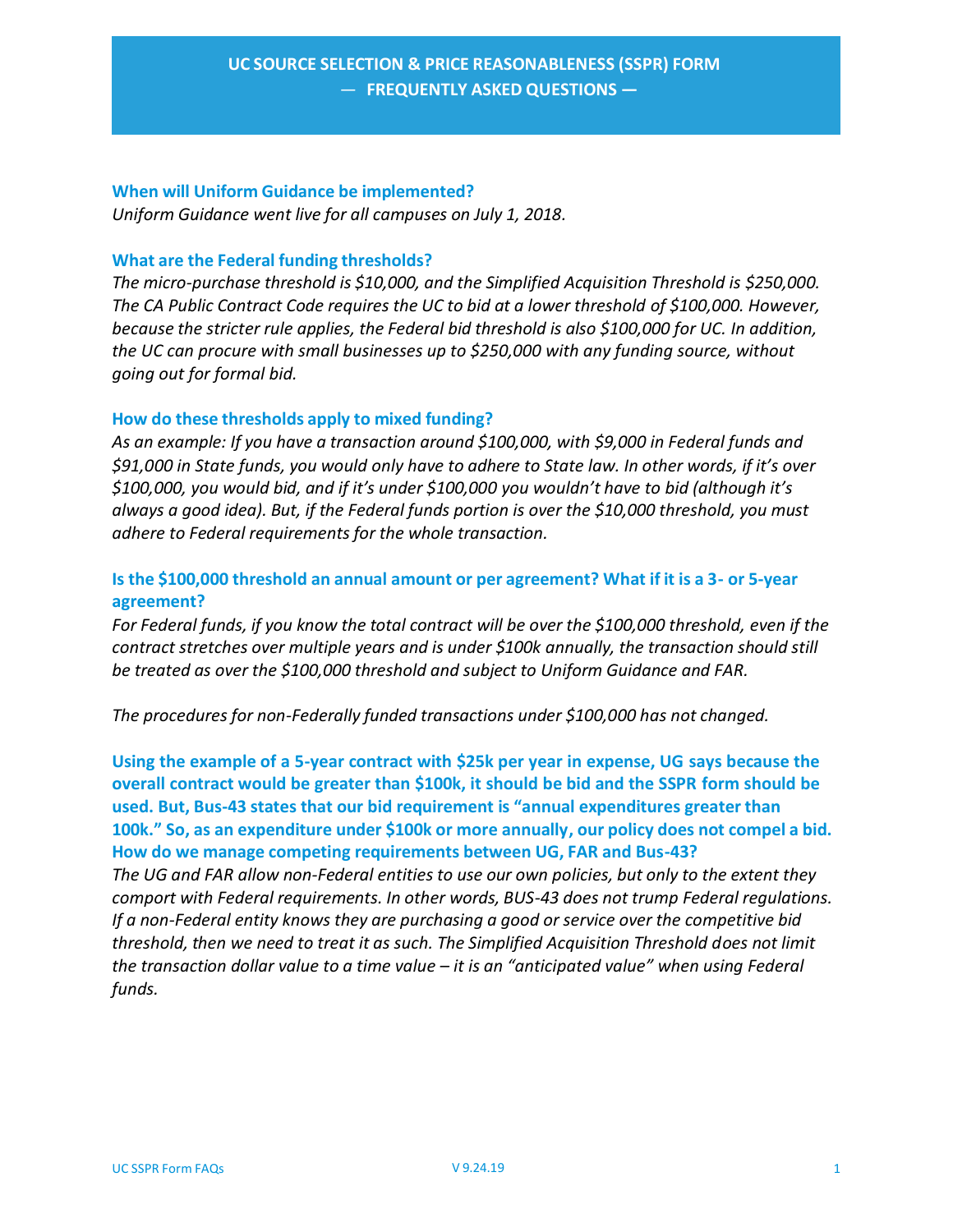### **When will Uniform Guidance be implemented?**

*Uniform Guidance went live for all campuses on July 1, 2018.*

### **What are the Federal funding thresholds?**

*The micro‐purchase threshold is \$10,000, and the Simplified Acquisition Threshold is \$250,000. The CA Public Contract Code requires the UC to bid at a lower threshold of \$100,000. However, because the stricter rule applies, the Federal bid threshold is also \$100,000 for UC. In addition, the UC can procure with small businesses up to \$250,000 with any funding source, without going out for formal bid.*

### **How do these thresholds apply to mixed funding?**

*As an example: If you have a transaction around \$100,000, with \$9,000 in Federal funds and \$91,000 in State funds, you would only have to adhere to State law. In other words, if it's over \$100,000, you would bid, and if it's under \$100,000 you wouldn't have to bid (although it's always a good idea). But, if the Federal funds portion is over the \$10,000 threshold, you must adhere to Federal requirements for the whole transaction.*

# **Is the \$100,000 threshold an annual amount or per agreement? What if it is a 3‐ or 5‐year agreement?**

*For Federal funds, if you know the total contract will be over the \$100,000 threshold, even if the contract stretches over multiple years and is under \$100k annually, the transaction should still be treated as over the \$100,000 threshold and subject to Uniform Guidance and FAR.*

*The procedures for non‐Federally funded transactions under \$100,000 has not changed.*

**Using the example of a 5‐year contract with \$25k per year in expense, UG says because the overall contract would be greater than \$100k, it should be bid and the SSPR form should be used. But, Bus‐43 states that our bid requirement is "annual expenditures greater than 100k." So, as an expenditure under \$100k or more annually, our policy does not compel a bid. How do we manage competing requirements between UG, FAR and Bus‐43?**

*The UG and FAR allow non‐Federal entities to use our own policies, but only to the extent they comport with Federal requirements. In other words, BUS‐43 does not trump Federal regulations. If a non‐Federal entity knows they are purchasing a good or service over the competitive bid threshold, then we need to treat it as such. The Simplified Acquisition Threshold does not limit the transaction dollar value to a time value – it is an "anticipated value" when using Federal funds.*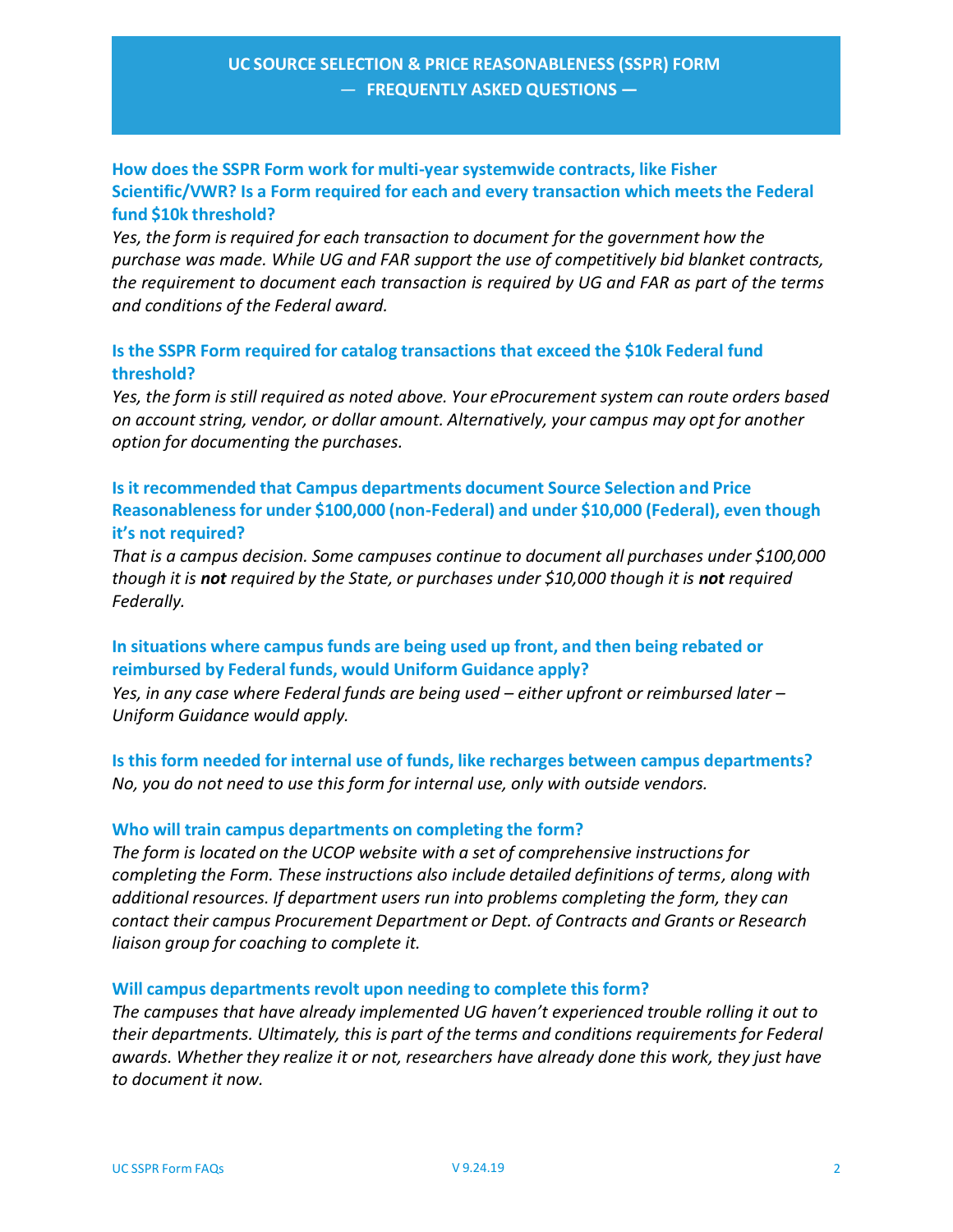# **How does the SSPR Form work for multi‐year systemwide contracts, like Fisher Scientific/VWR? Is a Form required for each and every transaction which meets the Federal fund \$10k threshold?**

*Yes, the form is required for each transaction to document for the government how the purchase was made. While UG and FAR support the use of competitively bid blanket contracts, the requirement to document each transaction is required by UG and FAR as part of the terms and conditions of the Federal award.*

## **Is the SSPR Form required for catalog transactions that exceed the \$10k Federal fund threshold?**

*Yes, the form is still required as noted above. Your eProcurement system can route orders based on account string, vendor, or dollar amount. Alternatively, your campus may opt for another option for documenting the purchases.*

# **Is it recommended that Campus departments document Source Selection and Price Reasonableness for under \$100,000 (non‐Federal) and under \$10,000 (Federal), even though it's not required?**

*That is a campus decision. Some campuses continue to document all purchases under \$100,000 though it is not required by the State, or purchases under \$10,000 though it is not required Federally.*

## **In situations where campus funds are being used up front, and then being rebated or reimbursed by Federal funds, would Uniform Guidance apply?**

*Yes, in any case where Federal funds are being used – either upfront or reimbursed later – Uniform Guidance would apply.*

**Is this form needed for internal use of funds, like recharges between campus departments?** *No, you do not need to use this form for internal use, only with outside vendors.*

## **Who will train campus departments on completing the form?**

*The form is located on the UCOP website with a set of comprehensive instructions for completing the Form. These instructions also include detailed definitions of terms, along with additional resources. If department users run into problems completing the form, they can contact their campus Procurement Department or Dept. of Contracts and Grants or Research liaison group for coaching to complete it.*

### **Will campus departments revolt upon needing to complete this form?**

*The campuses that have already implemented UG haven't experienced trouble rolling it out to their departments. Ultimately, this is part of the terms and conditions requirements for Federal awards. Whether they realize it or not, researchers have already done this work, they just have to document it now.*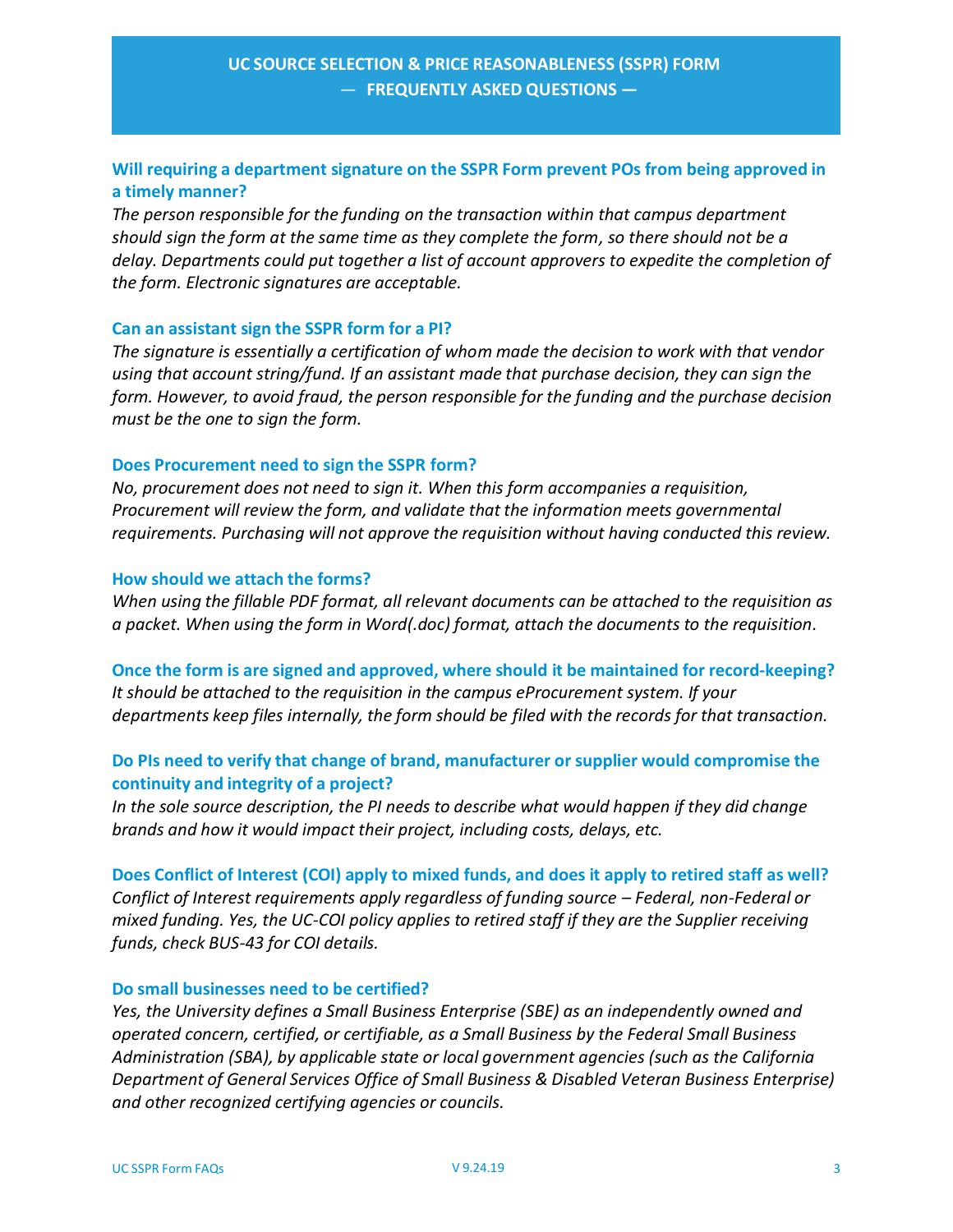# **Will requiring a department signature on the SSPR Form prevent POs from being approved in a timely manner?**

*The person responsible for the funding on the transaction within that campus department should sign the form at the same time as they complete the form, so there should not be a delay. Departments could put together a list of account approvers to expedite the completion of the form. Electronic signatures are acceptable.*

### **Can an assistant sign the SSPR form for a PI?**

*The signature is essentially a certification of whom made the decision to work with that vendor using that account string/fund. If an assistant made that purchase decision, they can sign the form. However, to avoid fraud, the person responsible for the funding and the purchase decision must be the one to sign the form.*

### **Does Procurement need to sign the SSPR form?**

*No, procurement does not need to sign it. When this form accompanies a requisition, Procurement will review the form, and validate that the information meets governmental requirements. Purchasing will not approve the requisition without having conducted this review.*

### **How should we attach the forms?**

*When using the fillable PDF format, all relevant documents can be attached to the requisition as a packet. When using the form in Word(.doc) format, attach the documents to the requisition.*

**Once the form is are signed and approved, where should it be maintained for record‐keeping?**  *It should be attached to the requisition in the campus eProcurement system. If your departments keep files internally, the form should be filed with the records for that transaction.*

## **Do PIs need to verify that change of brand, manufacturer or supplier would compromise the continuity and integrity of a project?**

*In the sole source description, the PI needs to describe what would happen if they did change brands and how it would impact their project, including costs, delays, etc.*

**Does Conflict of Interest (COI) apply to mixed funds, and does it apply to retired staff as well?**  *Conflict of Interest requirements apply regardless of funding source – Federal, non‐Federal or mixed funding. Yes, the UC‐COI policy applies to retired staff if they are the Supplier receiving funds, check BUS‐43 for COI details.*

## **Do small businesses need to be certified?**

*Yes, the University defines a Small Business Enterprise (SBE) as an independently owned and operated concern, certified, or certifiable, as a Small Business by the Federal Small Business Administration (SBA), by applicable state or local government agencies (such as the California Department of General Services Office of Small Business & Disabled Veteran Business Enterprise) and other recognized certifying agencies or councils.*